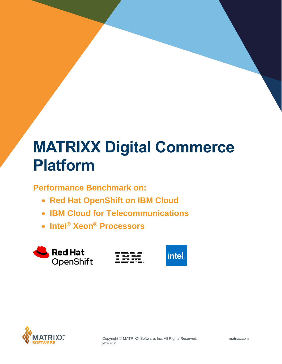# **MATRIXX Digital Commerce Platform**

**Performance Benchmark on:**

- **Red Hat OpenShift on IBM Cloud**
- **IBM Cloud for Telecommunications**
- **Intel® Xeon® Processors**







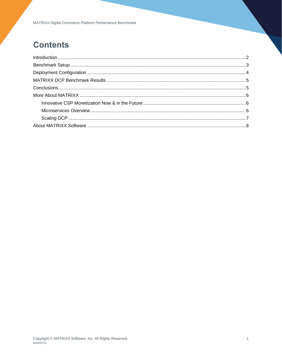### **Contents**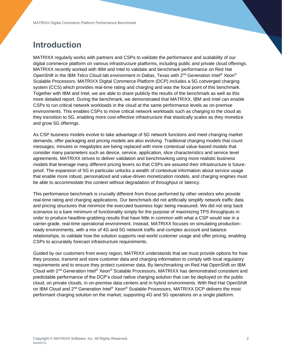### <span id="page-2-0"></span>**Introduction**

MATRIXX regularly works with partners and CSPs to validate the performance and scalability of our digital commerce platform on various infrastructure platforms, including public and private cloud offerings. MATRIXX recently worked with IBM and Intel to validate and benchmark performance on Red Hat OpenShift in the IBM Telco Cloud lab environment in Dallas, Texas with  $2^{nd}$  Generation Intel® Xeon® Scalable Processors. MATRIXX Digital Commerce Platform (DCP) includes a 5G converged charging system (CCS) which provides real-time rating and charging and was the focal point of this benchmark. Together with IBM and Intel, we are able to share publicly the results of the benchmark as well as this more detailed report. During the benchmark, we demonstrated that MATRIXX, IBM and Intel can enable CSPs to run critical network workloads in the cloud at the same performance levels as on-premise environments. This enables CSPs to move critical network workloads such as charging to the cloud as they transition to 5G, enabling more cost-effective infrastructure that elastically scales as they monetize and grow 5G offerings.

As CSP business models evolve to take advantage of 5G network functions and meet changing market demands, offer packaging and pricing models are also evolving. Traditional charging models that count messages, minutes or megabytes are being replaced with more contextual value-based models that consider many parameters such as device, service, application, slice characteristics and service level agreements. MATRIXX strives to deliver validation and benchmarking using more realistic business models that leverage many different pricing levers so that CSPs are assured their infrastructure is futureproof. The expansion of 5G in particular unlocks a wealth of contextual information about service usage that enable more robust, personalized and value-driven monetization models, and charging engines must be able to accommodate this context without degradation of throughput or latency.

This performance benchmark is crucially different from those performed by other vendors who provide real-time rating and charging applications. Our benchmark did not artificially simplify network traffic data and pricing structures that minimize the executed business logic being measured. We did not strip back scenarios to a bare minimum of functionality simply for the purpose of maximizing TPS throughputs in order to produce headline-grabbing results that have little in common with what a CSP would see in a carrier-grade, real-time operational environment. Instead, MATRIXX focuses on simulating productionready environments, with a mix of 4G and 5G network traffic and complex account and balance relationships, to validate how the solution supports real-world customer usage and offer pricing, enabling CSPs to accurately forecast infrastructure requirements.

Guided by our customers from every region, MATRIXX understands that we must provide options for how they process, transmit and store customer data and charging information to comply with local regulatory requirements and to ensure they protect customer data. By benchmarking on Red Hat OpenShift on IBM Cloud with 2nd Generation Intel® Xeon® Scalable Processors, MATRIXX has demonstrated consistent and predictable performance of the DCP's cloud native charging solution that can be deployed on the public cloud, on private clouds, in on-premise data centers and in hybrid environments. With Red Hat OpenShift on IBM Cloud and 2<sup>nd</sup> Generation Intel® Xeon® Scalable Processors, MATRIXX DCP delivers the most performant charging solution on the market, supporting 4G and 5G operations on a single platform.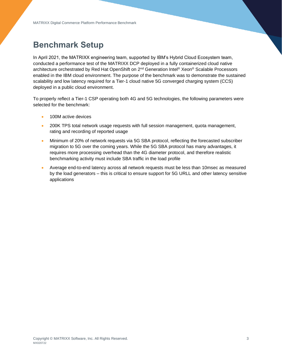### <span id="page-3-0"></span>**Benchmark Setup**

In April 2021, the MATRIXX engineering team, supported by IBM's Hybrid Cloud Ecosystem team, conducted a performance test of the MATRIXX DCP deployed in a fully containerized cloud native architecture orchestrated by Red Hat OpenShift on 2<sup>nd</sup> Generation Intel<sup>®</sup> Xeon<sup>®</sup> Scalable Processors enabled in the IBM cloud environment. The purpose of the benchmark was to demonstrate the sustained scalability and low latency required for a Tier-1 cloud native 5G converged charging system (CCS) deployed in a public cloud environment.

To properly reflect a Tier-1 CSP operating both 4G and 5G technologies, the following parameters were selected for the benchmark:

- 100M active devices
- 200K TPS total network usage requests with full session management, quota management, rating and recording of reported usage
- Minimum of 20% of network requests via 5G SBA protocol, reflecting the forecasted subscriber migration to 5G over the coming years. While the 5G SBA protocol has many advantages, it requires more processing overhead than the 4G diameter protocol, and therefore realistic benchmarking activity must include SBA traffic in the load profile
- Average end-to-end latency across all network requests must be less than 10msec as measured by the load generators – this is critical to ensure support for 5G URLL and other latency sensitive applications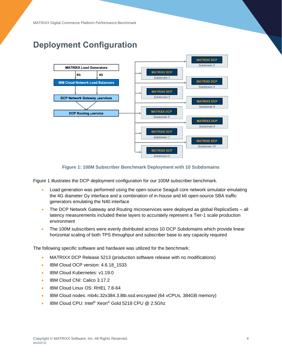### <span id="page-4-0"></span>**Deployment Configuration**



**Figure 1: 100M Subscriber Benchmark Deployment with 10 Subdomains**

Figure 1 illustrates the DCP deployment configuration for our 100M subscriber benchmark.

- Load generation was performed using the open-source Seagull core network simulator emulating the 4G diameter Gy interface and a combination of in-house and k6 open-source SBA traffic generators emulating the N40 interface
- The DCP Network Gateway and Routing microservices were deployed as global ReplicaSets all latency measurements included these layers to accurately represent a Tier-1 scale production environment
- The 100M subscribers were evenly distributed across 10 DCP Subdomains which provide linear horizontal scaling of both TPS throughput and subscriber base to any capacity required

The following specific software and hardware was utilized for the benchmark:

- MATRIXX DCP Release 5213 (production software release with no modifications)
- IBM Cloud OCP version: 4.6.18 1533
- IBM Cloud Kubernetes: v1.19.0
- IBM Cloud CNI: Calico 3.17.2
- IBM Cloud Linux OS: RHEL 7.8-64
- IBM Cloud nodes: mb4c.32x384.3.8tb.ssd.encrypted (64 vCPUs, 384GB memory)
- IBM Cloud CPU: Intel® Xeon® Gold 5218 CPU @ 2.5Ghz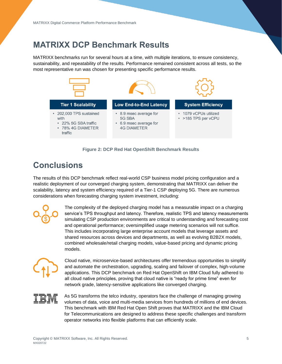### <span id="page-5-0"></span>**MATRIXX DCP Benchmark Results**

MATRIXX benchmarks run for several hours at a time, with multiple iterations, to ensure consistency, sustainability, and repeatability of the results. Performance remained consistent across all tests, so the most representative run was chosen for presenting specific performance results.



#### **Figure 2: DCP Red Hat OpenShift Benchmark Results**

### <span id="page-5-1"></span>**Conclusions**

The results of this DCP benchmark reflect real-world CSP business model pricing configuration and a realistic deployment of our converged charging system, demonstrating that MATRIXX can deliver the scalability, latency and system efficiency required of a Tier-1 CSP deploying 5G. There are numerous considerations when forecasting charging system investment, including:



The complexity of the deployed charging model has a measurable impact on a charging service's TPS throughput and latency. Therefore, realistic TPS and latency measurements simulating CSP production environments are critical to understanding and forecasting cost and operational performance; oversimplified usage metering scenarios will not suffice. This includes incorporating large enterprise account models that leverage assets and shared resources across devices and departments, as well as evolving B2B2X models, combined wholesale/retail charging models, value-based pricing and dynamic pricing models.



Cloud native, microservice-based architectures offer tremendous opportunities to simplify and automate the orchestration, upgrading, scaling and failover of complex, high-volume applications. This DCP benchmark on Red Hat OpenShift on IBM Cloud fully adhered to all cloud native principles, proving that cloud native is "ready for prime time" even for network grade, latency-sensitive applications like converged charging.

As 5G transforms the telco industry, operators face the challenge of managing growing volumes of data, voice and multi-media services from hundreds of millions of end devices. This benchmark with IBM Red Hat Open Shift proves that MATRIXX and the IBM Cloud for Telecommunications are designed to address these specific challenges and transform operator networks into flexible platforms that can efficiently scale.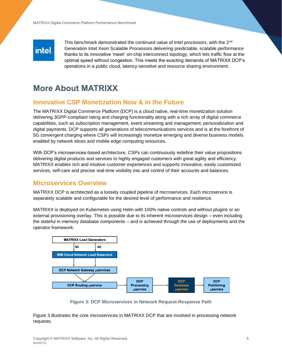## intel.

This benchmark demonstrated the continued value of Intel processors, with the 2<sup>nd</sup> Generation Intel Xeon Scalable Processors delivering predictable, scalable performance thanks to its innovative 'mesh' on-chip interconnect topology, which lets traffic flow at the optimal speed without congestion. This meets the exacting demands of MATRIXX DCP's operations in a public cloud, latency-sensitive and resource sharing environment.

### <span id="page-6-0"></span>**More About MATRIXX**

### <span id="page-6-1"></span>**Innovative CSP Monetization Now & in the Future**

The MATRIXX Digital Commerce Platform (DCP) is a cloud native, real-time monetization solution delivering 3GPP-compliant rating and charging functionality along with a rich array of digital commerce capabilities, such as subscription management, event streaming and management, personalization and digital payments. DCP supports all generations of telecommunications services and is at the forefront of 5G convergent charging where CSPs will increasingly monetize emerging and diverse business models enabled by network slices and mobile edge computing resources.

With DCP's microservices-based architecture, CSPs can continuously redefine their value propositions delivering digital products and services to highly engaged customers with great agility and efficiency. MATRIXX enables rich and intuitive customer experiences and supports innovative, easily customized services, self-care and precise real-time visibility into and control of their accounts and balances.

#### <span id="page-6-2"></span>**Microservices Overview**

MATRIXX DCP is architected as a loosely coupled pipeline of microservices. Each microservice is separately scalable and configurable for the desired level of performance and resilience.

MATRIXX is deployed on Kubernetes using Helm with 100% native controls and without plugins or an external provisioning overlay. This is possible due to its inherent microservices design – even including the stateful in-memory database components – and is achieved through the use of deployments and the operator framework.



**Figure 3: DCP Microservices in Network Request-Response Path**

Figure 3 illustrates the core microservices in MATRIXX DCP that are involved in processing network requests.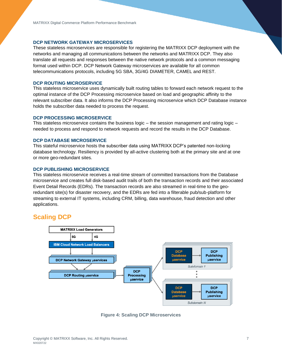#### **DCP NETWORK GATEWAY MICROSERVICES**

These stateless microservices are responsible for registering the MATRIXX DCP deployment with the networks and managing all communications between the networks and MATRIXX DCP. They also translate all requests and responses between the native network protocols and a common messaging format used within DCP. DCP Network Gateway microservices are available for all common telecommunications protocols, including 5G SBA, 3G/4G DIAMETER, CAMEL and REST.

#### **DCP ROUTING MICROSERVICE**

This stateless microservice uses dynamically built routing tables to forward each network request to the optimal instance of the DCP Processing microservice based on load and geographic affinity to the relevant subscriber data. It also informs the DCP Processing microservice which DCP Database instance holds the subscriber data needed to process the request.

#### **DCP PROCESSING MICROSERVICE**

This stateless microservice contains the business logic – the session management and rating logic – needed to process and respond to network requests and record the results in the DCP Database.

#### **DCP DATABASE MICROSERVICE**

This stateful microservice hosts the subscriber data using MATRIXX DCP's patented non-locking database technology. Resiliency is provided by all-active clustering both at the primary site and at one or more geo-redundant sites.

#### **DCP PUBLISHING MICROSERVICE**

This stateless microservice receives a real-time stream of committed transactions from the Database microservice and creates full disk-based audit trails of both the transaction records and their associated Event Detail Records (EDRs). The transaction records are also streamed in real-time to the georedundant site(s) for disaster recovery, and the EDRs are fed into a filterable pub/sub-platform for streaming to external IT systems, including CRM, billing, data warehouse, fraud detection and other applications.

#### <span id="page-7-0"></span>**Scaling DCP**



**Figure 4: Scaling DCP Microservices**